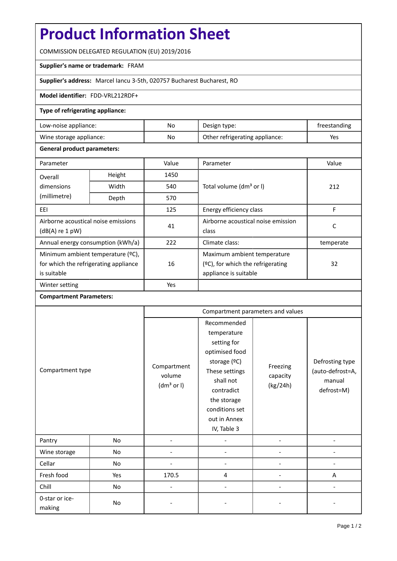# **Product Information Sheet**

COMMISSION DELEGATED REGULATION (EU) 2019/2016

## **Supplier's name or trademark:** FRAM

## **Supplier's address:** Marcel Iancu 3-5th, 020757 Bucharest Bucharest, RO

#### **Model identifier:** FDD-VRL212RDF+

# **Type of refrigerating appliance:**

| Low-noise appliance:          | No | Design type:                   | freestanding |
|-------------------------------|----|--------------------------------|--------------|
| No<br>Wine storage appliance: |    | Other refrigerating appliance: | Yes          |

#### **General product parameters:**

| Parameter                                                |                | Value | Parameter                            | Value     |  |
|----------------------------------------------------------|----------------|-------|--------------------------------------|-----------|--|
| Overall                                                  | Height<br>1450 |       |                                      |           |  |
| dimensions                                               | Width          | 540   | Total volume (dm <sup>3</sup> or I)  | 212       |  |
| (millimetre)                                             | Depth          | 570   |                                      |           |  |
| EEI                                                      |                | 125   | Energy efficiency class              | F         |  |
| Airborne acoustical noise emissions<br>$(dB(A)$ re 1 pW) |                | 41    | Airborne acoustical noise emission   | С         |  |
|                                                          |                |       | class                                |           |  |
| Annual energy consumption (kWh/a)                        |                | 222   | Climate class:                       | temperate |  |
| Minimum ambient temperature (°C),                        |                |       | Maximum ambient temperature          |           |  |
| for which the refrigerating appliance                    |                | 16    | $(2C)$ , for which the refrigerating | 32        |  |
| is suitable                                              |                |       | appliance is suitable                |           |  |
| Winter setting                                           |                | Yes   |                                      |           |  |

#### **Compartment Parameters:**

| Compartment type         |     | Compartment parameters and values               |                                                                                                                                                                                          |                                  |                                                             |
|--------------------------|-----|-------------------------------------------------|------------------------------------------------------------------------------------------------------------------------------------------------------------------------------------------|----------------------------------|-------------------------------------------------------------|
|                          |     | Compartment<br>volume<br>(dm <sup>3</sup> or I) | Recommended<br>temperature<br>setting for<br>optimised food<br>storage (°C)<br>These settings<br>shall not<br>contradict<br>the storage<br>conditions set<br>out in Annex<br>IV, Table 3 | Freezing<br>capacity<br>(kg/24h) | Defrosting type<br>(auto-defrost=A,<br>manual<br>defrost=M) |
| Pantry                   | No  |                                                 |                                                                                                                                                                                          |                                  |                                                             |
| Wine storage             | No  |                                                 |                                                                                                                                                                                          |                                  |                                                             |
| Cellar                   | No  |                                                 |                                                                                                                                                                                          |                                  |                                                             |
| Fresh food               | Yes | 170.5                                           | 4                                                                                                                                                                                        |                                  | A                                                           |
| Chill                    | No  |                                                 |                                                                                                                                                                                          |                                  |                                                             |
| 0-star or ice-<br>making | No  |                                                 |                                                                                                                                                                                          |                                  |                                                             |